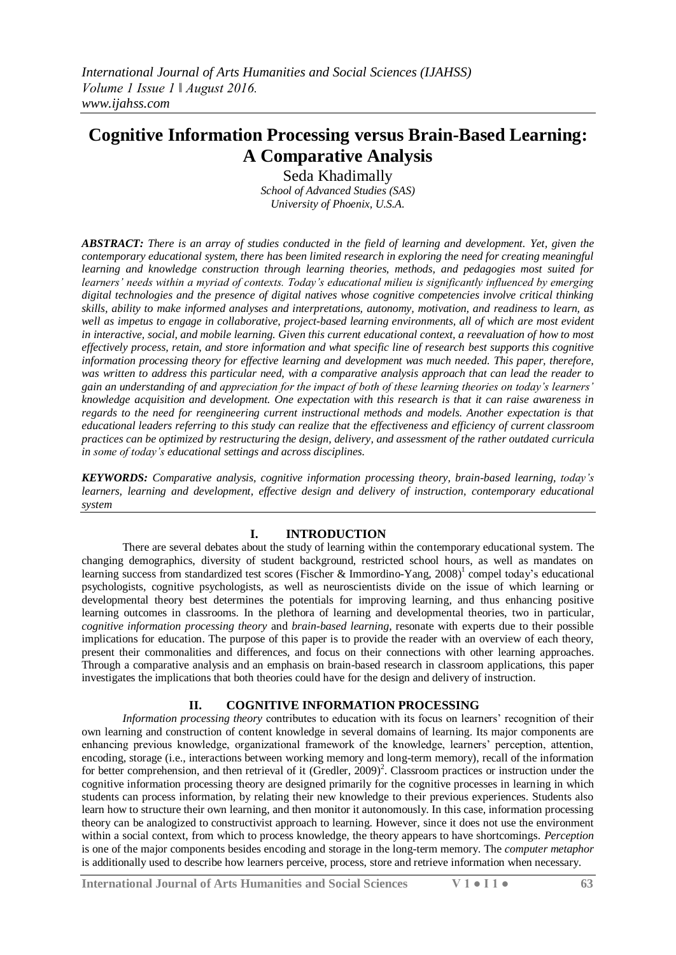# **Cognitive Information Processing versus Brain-Based Learning: A Comparative Analysis**

Seda Khadimally *School of Advanced Studies (SAS) University of Phoenix, U.S.A.*

*ABSTRACT: There is an array of studies conducted in the field of learning and development. Yet, given the contemporary educational system, there has been limited research in exploring the need for creating meaningful learning and knowledge construction through learning theories, methods, and pedagogies most suited for learners' needs within a myriad of contexts. Today's educational milieu is significantly influenced by emerging digital technologies and the presence of digital natives whose cognitive competencies involve critical thinking skills, ability to make informed analyses and interpretations, autonomy, motivation, and readiness to learn, as well as impetus to engage in collaborative, project-based learning environments, all of which are most evident in interactive, social, and mobile learning. Given this current educational context, a reevaluation of how to most effectively process, retain, and store information and what specific line of research best supports this cognitive information processing theory for effective learning and development was much needed. This paper, therefore, was written to address this particular need, with a comparative analysis approach that can lead the reader to gain an understanding of and appreciation for the impact of both of these learning theories on today's learners' knowledge acquisition and development. One expectation with this research is that it can raise awareness in regards to the need for reengineering current instructional methods and models. Another expectation is that educational leaders referring to this study can realize that the effectiveness and efficiency of current classroom practices can be optimized by restructuring the design, delivery, and assessment of the rather outdated curricula in some of today's educational settings and across disciplines.*

*KEYWORDS: Comparative analysis, cognitive information processing theory, brain-based learning, today's learners, learning and development, effective design and delivery of instruction, contemporary educational system*

## **I. INTRODUCTION**

There are several debates about the study of learning within the contemporary educational system. The changing demographics, diversity of student background, restricted school hours, as well as mandates on learning success from standardized test scores (Fischer & Immordino-Yang, 2008)<sup>1</sup> compel today's educational psychologists, cognitive psychologists, as well as neuroscientists divide on the issue of which learning or developmental theory best determines the potentials for improving learning, and thus enhancing positive learning outcomes in classrooms. In the plethora of learning and developmental theories, two in particular, *cognitive information processing theory* and *brain-based learning*, resonate with experts due to their possible implications for education. The purpose of this paper is to provide the reader with an overview of each theory, present their commonalities and differences, and focus on their connections with other learning approaches. Through a comparative analysis and an emphasis on brain-based research in classroom applications, this paper investigates the implications that both theories could have for the design and delivery of instruction.

## **II. COGNITIVE INFORMATION PROCESSING**

*Information processing theory* contributes to education with its focus on learners' recognition of their own learning and construction of content knowledge in several domains of learning. Its major components are enhancing previous knowledge, organizational framework of the knowledge, learners' perception, attention, encoding, storage (i.e., interactions between working memory and long-term memory), recall of the information for better comprehension, and then retrieval of it (Gredler, 2009)<sup>2</sup>. Classroom practices or instruction under the cognitive information processing theory are designed primarily for the cognitive processes in learning in which students can process information, by relating their new knowledge to their previous experiences. Students also learn how to structure their own learning, and then monitor it autonomously. In this case, information processing theory can be analogized to constructivist approach to learning. However, since it does not use the environment within a social context, from which to process knowledge, the theory appears to have shortcomings. *Perception* is one of the major components besides encoding and storage in the long-term memory. The *computer metaphor*  is additionally used to describe how learners perceive, process, store and retrieve information when necessary.

**International Journal of Arts Humanities and Social Sciences V 1 ● I 1 ● 63**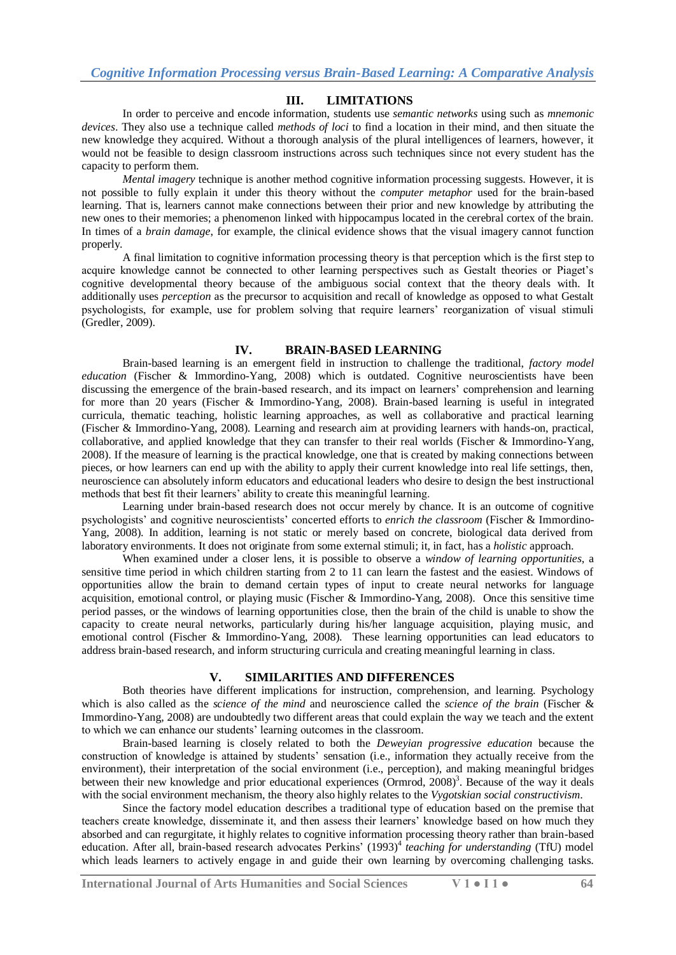## **III. LIMITATIONS**

In order to perceive and encode information, students use *semantic networks* using such as *mnemonic devices*. They also use a technique called *methods of loci* to find a location in their mind, and then situate the new knowledge they acquired. Without a thorough analysis of the plural intelligences of learners, however, it would not be feasible to design classroom instructions across such techniques since not every student has the capacity to perform them.

*Mental imagery* technique is another method cognitive information processing suggests. However, it is not possible to fully explain it under this theory without the *computer metaphor* used for the brain-based learning. That is, learners cannot make connections between their prior and new knowledge by attributing the new ones to their memories; a phenomenon linked with hippocampus located in the cerebral cortex of the brain. In times of a *brain damage*, for example, the clinical evidence shows that the visual imagery cannot function properly.

A final limitation to cognitive information processing theory is that perception which is the first step to acquire knowledge cannot be connected to other learning perspectives such as Gestalt theories or Piaget's cognitive developmental theory because of the ambiguous social context that the theory deals with. It additionally uses *perception* as the precursor to acquisition and recall of knowledge as opposed to what Gestalt psychologists, for example, use for problem solving that require learners' reorganization of visual stimuli (Gredler, 2009).

#### **IV. BRAIN-BASED LEARNING**

Brain-based learning is an emergent field in instruction to challenge the traditional, *factory model education* (Fischer & Immordino-Yang, 2008) which is outdated. Cognitive neuroscientists have been discussing the emergence of the brain-based research, and its impact on learners' comprehension and learning for more than 20 years (Fischer & Immordino-Yang, 2008). Brain-based learning is useful in integrated curricula, thematic teaching, holistic learning approaches, as well as collaborative and practical learning (Fischer & Immordino-Yang, 2008). Learning and research aim at providing learners with hands-on, practical, collaborative, and applied knowledge that they can transfer to their real worlds (Fischer & Immordino-Yang, 2008). If the measure of learning is the practical knowledge, one that is created by making connections between pieces, or how learners can end up with the ability to apply their current knowledge into real life settings, then, neuroscience can absolutely inform educators and educational leaders who desire to design the best instructional methods that best fit their learners' ability to create this meaningful learning.

Learning under brain-based research does not occur merely by chance. It is an outcome of cognitive psychologists' and cognitive neuroscientists' concerted efforts to *enrich the classroom* (Fischer & Immordino-Yang, 2008). In addition, learning is not static or merely based on concrete, biological data derived from laboratory environments. It does not originate from some external stimuli; it, in fact, has a *holistic* approach.

When examined under a closer lens, it is possible to observe a *window of learning opportunities*, a sensitive time period in which children starting from 2 to 11 can learn the fastest and the easiest. Windows of opportunities allow the brain to demand certain types of input to create neural networks for language acquisition, emotional control, or playing music (Fischer & Immordino-Yang, 2008). Once this sensitive time period passes, or the windows of learning opportunities close, then the brain of the child is unable to show the capacity to create neural networks, particularly during his/her language acquisition, playing music, and emotional control (Fischer & Immordino-Yang, 2008). These learning opportunities can lead educators to address brain-based research, and inform structuring curricula and creating meaningful learning in class.

## **V. SIMILARITIES AND DIFFERENCES**

Both theories have different implications for instruction, comprehension, and learning. Psychology which is also called as the *science of the mind* and neuroscience called the *science of the brain* (Fischer & Immordino-Yang, 2008) are undoubtedly two different areas that could explain the way we teach and the extent to which we can enhance our students' learning outcomes in the classroom.

Brain-based learning is closely related to both the *Deweyian progressive education* because the construction of knowledge is attained by students' sensation (i.e., information they actually receive from the environment), their interpretation of the social environment (i.e., perception), and making meaningful bridges between their new knowledge and prior educational experiences (Ormrod, 2008)<sup>3</sup>. Because of the way it deals with the social environment mechanism, the theory also highly relates to the *Vygotskian social constructivism*.

Since the factory model education describes a traditional type of education based on the premise that teachers create knowledge, disseminate it, and then assess their learners' knowledge based on how much they absorbed and can regurgitate, it highly relates to cognitive information processing theory rather than brain-based education. After all, brain-based research advocates Perkins' (1993)<sup>4</sup> teaching for understanding (TfU) model which leads learners to actively engage in and guide their own learning by overcoming challenging tasks.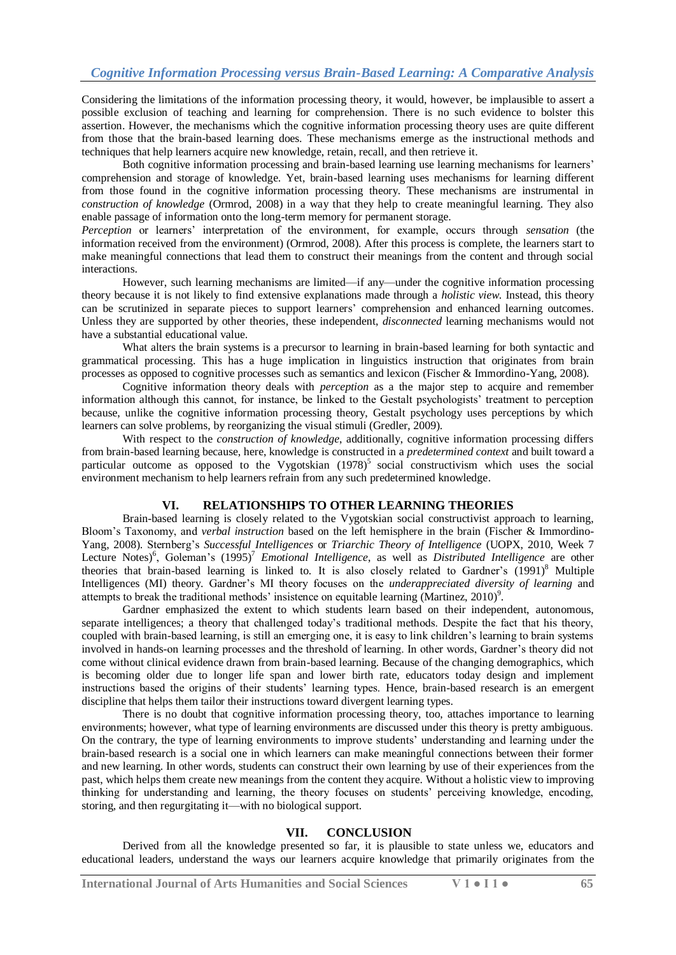Considering the limitations of the information processing theory, it would, however, be implausible to assert a possible exclusion of teaching and learning for comprehension. There is no such evidence to bolster this assertion. However, the mechanisms which the cognitive information processing theory uses are quite different from those that the brain-based learning does. These mechanisms emerge as the instructional methods and techniques that help learners acquire new knowledge, retain, recall, and then retrieve it.

Both cognitive information processing and brain-based learning use learning mechanisms for learners' comprehension and storage of knowledge. Yet, brain-based learning uses mechanisms for learning different from those found in the cognitive information processing theory. These mechanisms are instrumental in *construction of knowledge* (Ormrod, 2008) in a way that they help to create meaningful learning. They also enable passage of information onto the long-term memory for permanent storage.

*Perception* or learners' interpretation of the environment, for example, occurs through *sensation* (the information received from the environment) (Ormrod, 2008). After this process is complete, the learners start to make meaningful connections that lead them to construct their meanings from the content and through social interactions.

However, such learning mechanisms are limited—if any—under the cognitive information processing theory because it is not likely to find extensive explanations made through a *holistic view*. Instead, this theory can be scrutinized in separate pieces to support learners' comprehension and enhanced learning outcomes. Unless they are supported by other theories, these independent, *disconnected* learning mechanisms would not have a substantial educational value.

What alters the brain systems is a precursor to learning in brain-based learning for both syntactic and grammatical processing. This has a huge implication in linguistics instruction that originates from brain processes as opposed to cognitive processes such as semantics and lexicon (Fischer & Immordino-Yang, 2008).

Cognitive information theory deals with *perception* as a the major step to acquire and remember information although this cannot, for instance, be linked to the Gestalt psychologists' treatment to perception because, unlike the cognitive information processing theory, Gestalt psychology uses perceptions by which learners can solve problems, by reorganizing the visual stimuli (Gredler, 2009).

With respect to the *construction of knowledge*, additionally, cognitive information processing differs from brain-based learning because, here, knowledge is constructed in a *predetermined context* and built toward a particular outcome as opposed to the Vygotskian (1978)<sup>5</sup> social constructivism which uses the social environment mechanism to help learners refrain from any such predetermined knowledge.

## **VI. RELATIONSHIPS TO OTHER LEARNING THEORIES**

Brain-based learning is closely related to the Vygotskian social constructivist approach to learning, Bloom's Taxonomy, and *verbal instruction* based on the left hemisphere in the brain (Fischer & Immordino-Yang, 2008). Sternberg's *Successful Intelligences* or *Triarchic Theory of Intelligence* (UOPX, 2010, Week 7 Lecture Notes)<sup>6</sup>, Goleman's (1995)<sup>7</sup> *Emotional Intelligence*, as well as *Distributed Intelligence* are other theories that brain-based learning is linked to. It is also closely related to Gardner's (1991)<sup>8</sup> Multiple Intelligences (MI) theory. Gardner's MI theory focuses on the *underappreciated diversity of learning* and attempts to break the traditional methods' insistence on equitable learning (Martinez, 2010)<sup>9</sup>.

Gardner emphasized the extent to which students learn based on their independent, autonomous, separate intelligences; a theory that challenged today's traditional methods. Despite the fact that his theory, coupled with brain-based learning, is still an emerging one, it is easy to link children's learning to brain systems involved in hands-on learning processes and the threshold of learning. In other words, Gardner's theory did not come without clinical evidence drawn from brain-based learning. Because of the changing demographics, which is becoming older due to longer life span and lower birth rate, educators today design and implement instructions based the origins of their students' learning types. Hence, brain-based research is an emergent discipline that helps them tailor their instructions toward divergent learning types.

There is no doubt that cognitive information processing theory, too, attaches importance to learning environments; however, what type of learning environments are discussed under this theory is pretty ambiguous. On the contrary, the type of learning environments to improve students' understanding and learning under the brain-based research is a social one in which learners can make meaningful connections between their former and new learning. In other words, students can construct their own learning by use of their experiences from the past, which helps them create new meanings from the content they acquire. Without a holistic view to improving thinking for understanding and learning, the theory focuses on students' perceiving knowledge, encoding, storing, and then regurgitating it—with no biological support.

## **VII. CONCLUSION**

Derived from all the knowledge presented so far, it is plausible to state unless we, educators and educational leaders, understand the ways our learners acquire knowledge that primarily originates from the